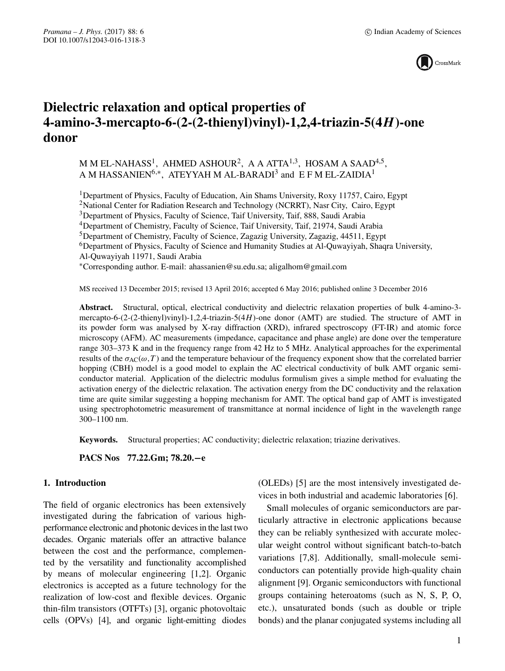

# **Dielectric relaxation and optical properties of 4-amino-3-mercapto-6-(2-(2-thienyl)vinyl)-1,2,4-triazin-5(4***H***)-one donor**

M M EL-NAHASS<sup>1</sup>, AHMED ASHOUR<sup>2</sup>, A A ATTA<sup>1,3</sup>, HOSAM A SAAD<sup>4,5</sup>, A M HASSANIEN<sup>6,\*</sup>, ATEYYAH M AL-BARADI<sup>3</sup> and E F M EL-ZAIDIA<sup>1</sup>

1Department of Physics, Faculty of Education, Ain Shams University, Roxy 11757, Cairo, Egypt <sup>2</sup>National Center for Radiation Research and Technology (NCRRT), Nasr City, Cairo, Egypt <sup>3</sup>Department of Physics, Faculty of Science, Taif University, Taif, 888, Saudi Arabia <sup>4</sup>Department of Chemistry, Faculty of Science, Taif University, Taif, 21974, Saudi Arabia <sup>5</sup>Department of Chemistry, Faculty of Science, Zagazig University, Zagazig, 44511, Egypt <sup>6</sup>Department of Physics, Faculty of Science and Humanity Studies at Al-Quwayiyah, Shaqra University, Al-Quwayiyah 11971, Saudi Arabia ∗Corresponding author. E-mail: ahassanien@su.edu.sa; aligalhom@gmail.com

MS received 13 December 2015; revised 13 April 2016; accepted 6 May 2016; published online 3 December 2016

**Abstract.** Structural, optical, electrical conductivity and dielectric relaxation properties of bulk 4-amino-3 mercapto-6-(2-(2-thienyl)vinyl)-1,2,4-triazin-5(4H)-one donor (AMT) are studied. The structure of AMT in its powder form was analysed by X-ray diffraction (XRD), infrared spectroscopy (FT-IR) and atomic force microscopy (AFM). AC measurements (impedance, capacitance and phase angle) are done over the temperature range 303–373 K and in the frequency range from 42 Hz to 5 MHz. Analytical approaches for the experimental results of the  $\sigma_{AC}(\omega,T)$  and the temperature behaviour of the frequency exponent show that the correlated barrier hopping (CBH) model is a good model to explain the AC electrical conductivity of bulk AMT organic semiconductor material. Application of the dielectric modulus formulism gives a simple method for evaluating the activation energy of the dielectric relaxation. The activation energy from the DC conductivity and the relaxation time are quite similar suggesting a hopping mechanism for AMT. The optical band gap of AMT is investigated using spectrophotometric measurement of transmittance at normal incidence of light in the wavelength range 300–1100 nm.

**Keywords.** Structural properties; AC conductivity; dielectric relaxation; triazine derivatives.

**PACS Nos 77.22.Gm; 78.20.−e**

## **1. Introduction**

The field of organic electronics has been extensively investigated during the fabrication of various highperformance electronic and photonic devices in the last two decades. Organic materials offer an attractive balance between the cost and the performance, complemented by the versatility and functionality accomplished by means of molecular engineering [1,2]. Organic electronics is accepted as a future technology for the realization of low-cost and flexible devices. Organic thin-film transistors (OTFTs) [3], organic photovoltaic cells (OPVs) [4], and organic light-emitting diodes

(OLEDs) [5] are the most intensively investigated devices in both industrial and academic laboratories [6].

Small molecules of organic semiconductors are particularly attractive in electronic applications because they can be reliably synthesized with accurate molecular weight control without significant batch-to-batch variations [7,8]. Additionally, small-molecule semiconductors can potentially provide high-quality chain alignment [9]. Organic semiconductors with functional groups containing heteroatoms (such as N, S, P, O, etc.), unsaturated bonds (such as double or triple bonds) and the planar conjugated systems including all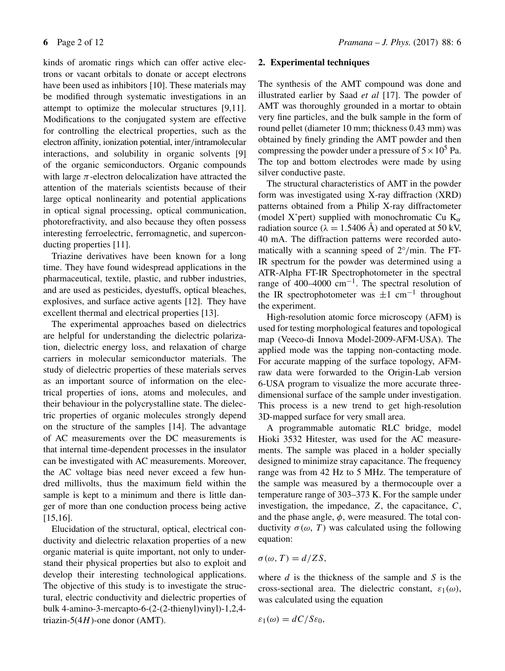kinds of aromatic rings which can offer active electrons or vacant orbitals to donate or accept electrons have been used as inhibitors [10]. These materials may be modified through systematic investigations in an attempt to optimize the molecular structures [9,11]. Modifications to the conjugated system are effective for controlling the electrical properties, such as the electron affinity, ionization potential, inter/intramolecular interactions, and solubility in organic solvents [9] of the organic semiconductors. Organic compounds with large  $\pi$ -electron delocalization have attracted the attention of the materials scientists because of their large optical nonlinearity and potential applications in optical signal processing, optical communication, photorefractivity, and also because they often possess interesting ferroelectric, ferromagnetic, and superconducting properties [11].

Triazine derivatives have been known for a long time. They have found widespread applications in the pharmaceutical, textile, plastic, and rubber industries, and are used as pesticides, dyestuffs, optical bleaches, explosives, and surface active agents [12]. They have excellent thermal and electrical properties [13].

The experimental approaches based on dielectrics are helpful for understanding the dielectric polarization, dielectric energy loss, and relaxation of charge carriers in molecular semiconductor materials. The study of dielectric properties of these materials serves as an important source of information on the electrical properties of ions, atoms and molecules, and their behaviour in the polycrystalline state. The dielectric properties of organic molecules strongly depend on the structure of the samples [14]. The advantage of AC measurements over the DC measurements is that internal time-dependent processes in the insulator can be investigated with AC measurements. Moreover, the AC voltage bias need never exceed a few hundred millivolts, thus the maximum field within the sample is kept to a minimum and there is little danger of more than one conduction process being active [15,16].

Elucidation of the structural, optical, electrical conductivity and dielectric relaxation properties of a new organic material is quite important, not only to understand their physical properties but also to exploit and develop their interesting technological applications. The objective of this study is to investigate the structural, electric conductivity and dielectric properties of bulk 4-amino-3-mercapto-6-(2-(2-thienyl)vinyl)-1,2,4 triazin- $5(4H)$ -one donor (AMT).

#### **2. Experimental techniques**

The synthesis of the AMT compound was done and illustrated earlier by Saad *et al* [17]. The powder of AMT was thoroughly grounded in a mortar to obtain very fine particles, and the bulk sample in the form of round pellet (diameter 10 mm; thickness 0.43 mm) was obtained by finely grinding the AMT powder and then compressing the powder under a pressure of  $5 \times 10^5$  Pa. The top and bottom electrodes were made by using silver conductive paste.

The structural characteristics of AMT in the powder form was investigated using X-ray diffraction (XRD) patterns obtained from a Philip X-ray diffractometer (model X'pert) supplied with monochromatic Cu  $K_{\alpha}$ radiation source ( $\lambda = 1.5406$  Å) and operated at 50 kV, 40 mA. The diffraction patterns were recorded automatically with a scanning speed of  $2°/$ min. The FT-IR spectrum for the powder was determined using a ATR-Alpha FT-IR Spectrophotometer in the spectral range of 400–4000 cm<sup>-1</sup>. The spectral resolution of the IR spectrophotometer was  $\pm 1$  cm<sup>-1</sup> throughout the experiment.

High-resolution atomic force microscopy (AFM) is used for testing morphological features and topological map (Veeco-di Innova Model-2009-AFM-USA). The applied mode was the tapping non-contacting mode. For accurate mapping of the surface topology, AFMraw data were forwarded to the Origin-Lab version 6-USA program to visualize the more accurate threedimensional surface of the sample under investigation. This process is a new trend to get high-resolution 3D-mapped surface for very small area.

A programmable automatic RLC bridge, model Hioki 3532 Hitester, was used for the AC measurements. The sample was placed in a holder specially designed to minimize stray capacitance. The frequency range was from 42 Hz to 5 MHz. The temperature of the sample was measured by a thermocouple over a temperature range of 303–373 K. For the sample under investigation, the impedance,  $Z$ , the capacitance,  $C$ , and the phase angle,  $\phi$ , were measured. The total conductivity  $\sigma$ (ω, T) was calculated using the following equation:

## $\sigma(\omega, T) = d/ZS$ ,

where  $d$  is the thickness of the sample and  $S$  is the cross-sectional area. The dielectric constant,  $\varepsilon_1(\omega)$ , was calculated using the equation

$$
\varepsilon_1(\omega) = dC/S\varepsilon_0,
$$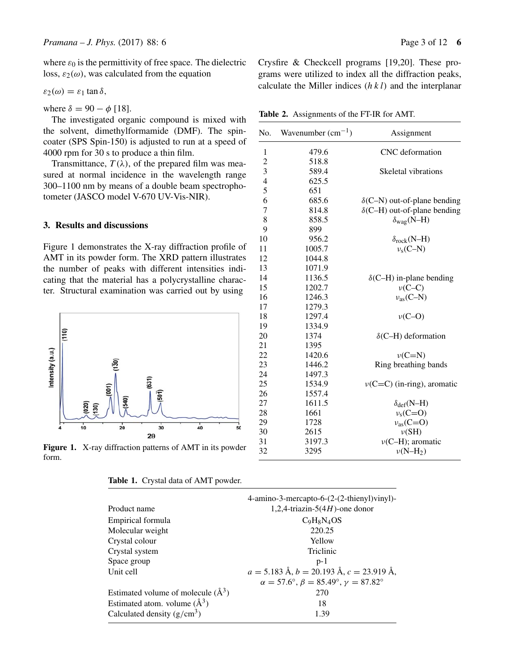where  $\varepsilon_0$  is the permittivity of free space. The dielectric loss,  $\varepsilon_2(\omega)$ , was calculated from the equation

 $\varepsilon_2(\omega) = \varepsilon_1 \tan \delta$ ,

where  $\delta = 90 - \phi$  [18].

The investigated organic compound is mixed with the solvent, dimethylformamide (DMF). The spincoater (SPS Spin-150) is adjusted to run at a speed of 4000 rpm for 30 s to produce a thin film.

Transmittance,  $T(\lambda)$ , of the prepared film was measured at normal incidence in the wavelength range 300–1100 nm by means of a double beam spectrophotometer (JASCO model V-670 UV-Vis-NIR).

## **3. Results and discussions**

Figure 1 demonstrates the X-ray diffraction profile of AMT in its powder form. The XRD pattern illustrates the number of peaks with different intensities indicating that the material has a polycrystalline character. Structural examination was carried out by using



**Figure 1.** X-ray diffraction patterns of AMT in its powder form.

| Table 1. Crystal data of AMT powder. |  |  |  |  |
|--------------------------------------|--|--|--|--|
|--------------------------------------|--|--|--|--|

|                                        | 4-amino-3-mercapto-6-(2-(2-thienyl)vinyl)-                             |
|----------------------------------------|------------------------------------------------------------------------|
| Product name                           | 1,2,4-triazin-5(4H)-one donor                                          |
| Empirical formula                      | $C_9H_8N_4OS$                                                          |
| Molecular weight                       | 220.25                                                                 |
| Crystal colour                         | Yellow                                                                 |
| Crystal system                         | Triclinic                                                              |
| Space group                            | $p-1$                                                                  |
| Unit cell                              | $a = 5.183 \text{ Å}, b = 20.193 \text{ Å}, c = 23.919 \text{ Å},$     |
|                                        | $\alpha = 57.6^{\circ}, \beta = 85.49^{\circ}, \gamma = 87.82^{\circ}$ |
| Estimated volume of molecule $(\AA^3)$ | 270                                                                    |
| Estimated atom. volume $(\AA^3)$       | 18                                                                     |
| Calculated density $(g/cm^3)$          | 1.39                                                                   |

Crysfire & Checkcell programs [19,20]. These programs were utilized to index all the diffraction peaks, calculate the Miller indices  $(h k l)$  and the interplanar

**Table 2.** Assignments of the FT-IR for AMT.

| No.                      | Wavenumber $(cm^{-1})$ | Assignment                          |
|--------------------------|------------------------|-------------------------------------|
| $\mathbf{1}$             | 479.6                  | CNC deformation                     |
| $\overline{c}$           | 518.8                  |                                     |
| 3                        | 589.4                  | Skeletal vibrations                 |
| $\overline{\mathcal{L}}$ | 625.5                  |                                     |
| 5                        | 651                    |                                     |
| 6                        | 685.6                  | $\delta$ (C-N) out-of-plane bending |
| $\overline{7}$           | 814.8                  | $\delta$ (C-H) out-of-plane bending |
| 8                        | 858.5                  | $\delta_{\text{wag}}(N-H)$          |
| 9                        | 899                    |                                     |
| 10                       | 956.2                  | $\delta_{rock}(N-H)$                |
| 11                       | 1005.7                 | $v_s$ (C-N)                         |
| 12                       | 1044.8                 |                                     |
| 13                       | 1071.9                 |                                     |
| 14                       | 1136.5                 | $\delta$ (C-H) in-plane bending     |
| 15                       | 1202.7                 | $\nu$ (C-C)                         |
| 16                       | 1246.3                 | $v_{as}(C-N)$                       |
| 17                       | 1279.3                 |                                     |
| 18                       | 1297.4                 | $v(C-O)$                            |
| 19                       | 1334.9                 |                                     |
| 20                       | 1374                   | $\delta$ (C-H) deformation          |
| 21                       | 1395                   |                                     |
| 22                       | 1420.6                 | $\nu(C=N)$                          |
| 23                       | 1446.2                 | Ring breathing bands                |
| 24                       | 1497.3                 |                                     |
| 25                       | 1534.9                 | $\nu(C=C)$ (in-ring), aromatic      |
| 26                       | 1557.4                 |                                     |
| 27                       | 1611.5                 | $\delta_{def}(N-H)$                 |
| 28                       | 1661                   | $v_s$ (C=O)                         |
| 29                       | 1728                   | $v_{as}(C=O)$                       |
| 30                       | 2615                   | $\nu(SH)$                           |
| 31                       | 3197.3                 | $\nu$ (C-H); aromatic               |
| 32                       | 3295                   | $\nu(N-H_2)$                        |
|                          |                        |                                     |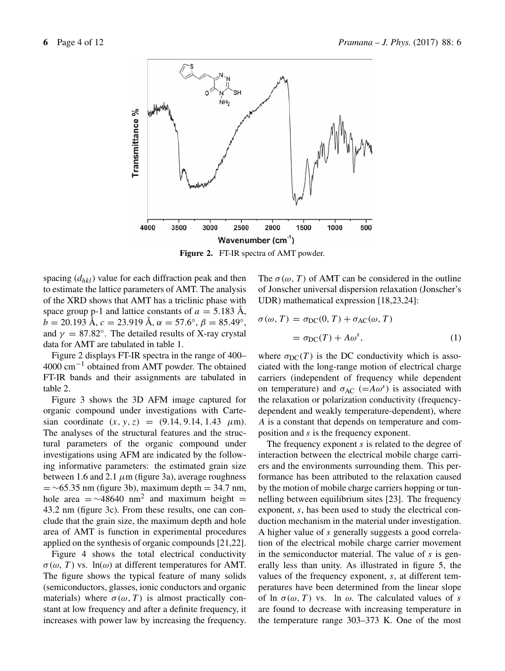

**Figure 2.** FT-IR spectra of AMT powder.

spacing  $(d_{hkl})$  value for each diffraction peak and then to estimate the lattice parameters of AMT. The analysis of the XRD shows that AMT has a triclinic phase with space group p-1 and lattice constants of  $a = 5.183$  Å,  $b = 20.193$  Å,  $c = 23.919$  Å,  $\alpha = 57.6^{\circ}$ ,  $\beta = 85.49^{\circ}$ , and  $\gamma = 87.82^{\circ}$ . The detailed results of X-ray crystal data for AMT are tabulated in table 1.

Figure 2 displays FT-IR spectra in the range of 400– 4000 cm−<sup>1</sup> obtained from AMT powder. The obtained FT-IR bands and their assignments are tabulated in table 2.

Figure 3 shows the 3D AFM image captured for organic compound under investigations with Cartesian coordinate  $(x, y, z) = (9.14, 9.14, 1.43 \mu m)$ . The analyses of the structural features and the structural parameters of the organic compound under investigations using AFM are indicated by the following informative parameters: the estimated grain size between 1.6 and 2.1  $\mu$ m (figure 3a), average roughness  $=$  ~65.35 nm (figure 3b), maximum depth = 34.7 nm, hole area  $=$  ~48640 nm<sup>2</sup> and maximum height = 43.2 nm (figure 3c). From these results, one can conclude that the grain size, the maximum depth and hole area of AMT is function in experimental procedures applied on the synthesis of organic compounds [21,22].

Figure 4 shows the total electrical conductivity  $\sigma(\omega, T)$  vs. ln( $\omega$ ) at different temperatures for AMT. The figure shows the typical feature of many solids (semiconductors, glasses, ionic conductors and organic materials) where  $\sigma(\omega, T)$  is almost practically constant at low frequency and after a definite frequency, it increases with power law by increasing the frequency. The  $\sigma(\omega, T)$  of AMT can be considered in the outline of Jonscher universal dispersion relaxation (Jonscher's UDR) mathematical expression [18,23,24]:

$$
\sigma(\omega, T) = \sigma_{DC}(0, T) + \sigma_{AC}(\omega, T)
$$

$$
= \sigma_{DC}(T) + A\omega^{s}, \qquad (1)
$$

where  $\sigma_{DC}(T)$  is the DC conductivity which is associated with the long-range motion of electrical charge carriers (independent of frequency while dependent on temperature) and  $\sigma_{AC}$  (=A $\omega^s$ ) is associated with the relaxation or polarization conductivity (frequencydependent and weakly temperature-dependent), where A is a constant that depends on temperature and composition and s is the frequency exponent.

The frequency exponent  $s$  is related to the degree of interaction between the electrical mobile charge carriers and the environments surrounding them. This performance has been attributed to the relaxation caused by the motion of mobile charge carriers hopping or tunnelling between equilibrium sites [23]. The frequency exponent, s, has been used to study the electrical conduction mechanism in the material under investigation. A higher value of s generally suggests a good correlation of the electrical mobile charge carrier movement in the semiconductor material. The value of  $s$  is generally less than unity. As illustrated in figure 5, the values of the frequency exponent, s, at different temperatures have been determined from the linear slope of ln  $\sigma(\omega, T)$  vs. ln  $\omega$ . The calculated values of s are found to decrease with increasing temperature in the temperature range 303–373 K. One of the most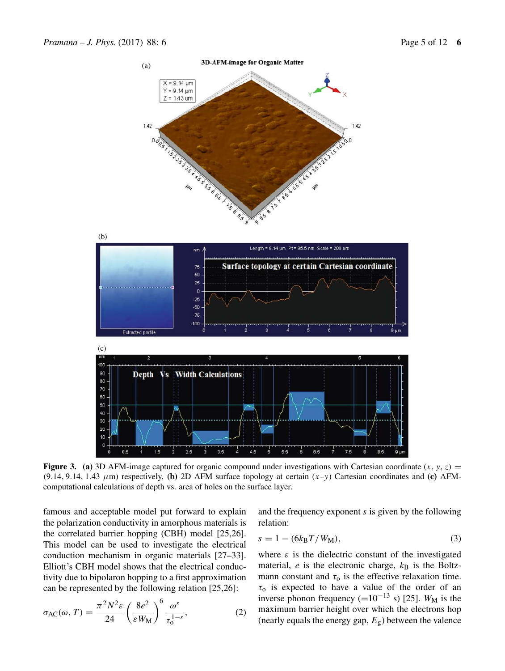

**Figure 3.** (a) 3D AFM-image captured for organic compound under investigations with Cartesian coordinate  $(x, y, z)$  =  $(9.14, 9.14, 1.43 \mu m)$  respectively, **(b)** 2D AFM surface topology at certain  $(x-y)$  Cartesian coordinates and **(c)** AFMcomputational calculations of depth vs. area of holes on the surface layer.

famous and acceptable model put forward to explain the polarization conductivity in amorphous materials is the correlated barrier hopping (CBH) model [25,26]. This model can be used to investigate the electrical conduction mechanism in organic materials [27–33]. Elliott's CBH model shows that the electrical conductivity due to bipolaron hopping to a first approximation can be represented by the following relation [25,26]:

$$
\sigma_{AC}(\omega, T) = \frac{\pi^2 N^2 \varepsilon}{24} \left(\frac{8e^2}{\varepsilon W_M}\right)^6 \frac{\omega^s}{\tau_0^{1-s}},\tag{2}
$$

and the frequency exponent s is given by the following relation:

$$
s = 1 - (6k_{\rm B}T/W_{\rm M}),
$$
 (3)

where  $\varepsilon$  is the dielectric constant of the investigated material,  $e$  is the electronic charge,  $k_B$  is the Boltzmann constant and  $\tau_0$  is the effective relaxation time.  $\tau_0$  is expected to have a value of the order of an inverse phonon frequency (=10<sup>-13</sup> s) [25]. W<sub>M</sub> is the maximum barrier height over which the electrons hop (nearly equals the energy gap,  $E_{\rm g}$ ) between the valence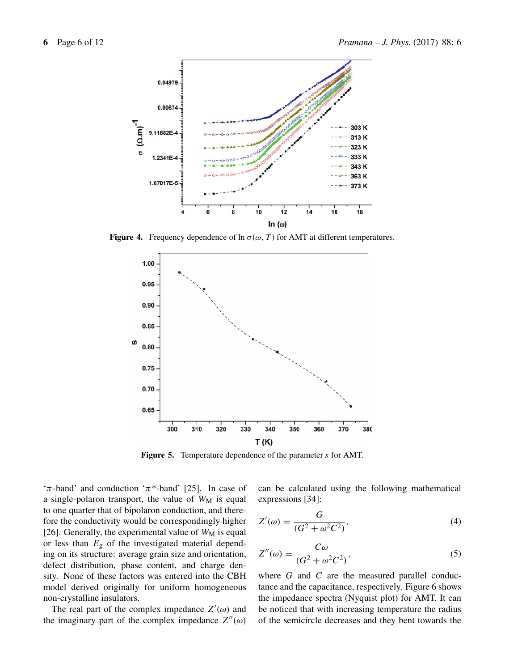

**Figure 4.** Frequency dependence of  $\ln \sigma(\omega, T)$  for AMT at different temperatures.



**Figure 5.** Temperature dependence of the parameter s for AMT.

' $\pi$ -band' and conduction ' $\pi$ <sup>\*</sup>-band' [25]. In case of a single-polaron transport, the value of  $W_M$  is equal to one quarter that of bipolaron conduction, and therefore the conductivity would be correspondingly higher [26]. Generally, the experimental value of  $W_M$  is equal or less than  $E_{\rm g}$  of the investigated material depending on its structure: average grain size and orientation, defect distribution, phase content, and charge density. None of these factors was entered into the CBH model derived originally for uniform homogeneous non-crystalline insulators.

The real part of the complex impedance  $Z'(\omega)$  and the imaginary part of the complex impedance  $Z''(\omega)$  can be calculated using the following mathematical expressions [34]:

$$
Z'(\omega) = \frac{G}{(G^2 + \omega^2 C^2)},\tag{4}
$$

$$
Z''(\omega) = \frac{C\omega}{(G^2 + \omega^2 C^2)},
$$
\n(5)

where  $G$  and  $C$  are the measured parallel conductance and the capacitance, respectively. Figure 6 shows the impedance spectra (Nyquist plot) for AMT. It can be noticed that with increasing temperature the radius of the semicircle decreases and they bent towards the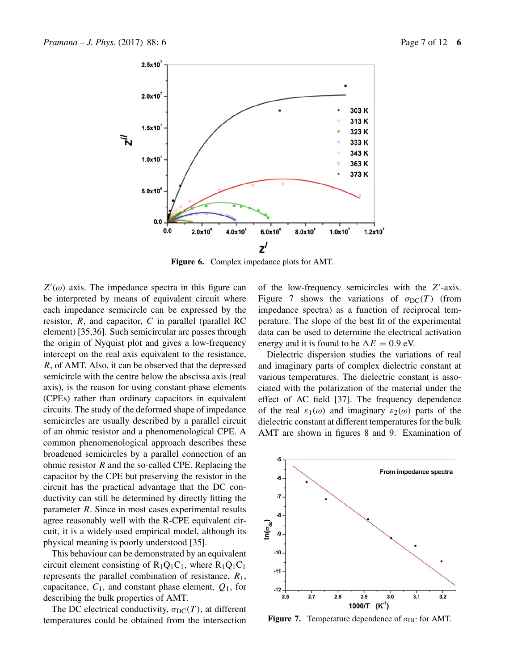

**Figure 6.** Complex impedance plots for AMT.

 $Z'(\omega)$  axis. The impedance spectra in this figure can be interpreted by means of equivalent circuit where each impedance semicircle can be expressed by the resistor,  $R$ , and capacitor,  $C$  in parallel (parallel RC element) [35,36]. Such semicircular arc passes through the origin of Nyquist plot and gives a low-frequency intercept on the real axis equivalent to the resistance, R, of AMT. Also, it can be observed that the depressed semicircle with the centre below the abscissa axis (real axis), is the reason for using constant-phase elements (CPEs) rather than ordinary capacitors in equivalent circuits. The study of the deformed shape of impedance semicircles are usually described by a parallel circuit of an ohmic resistor and a phenomenological CPE. A common phenomenological approach describes these broadened semicircles by a parallel connection of an ohmic resistor  $R$  and the so-called CPE. Replacing the capacitor by the CPE but preserving the resistor in the circuit has the practical advantage that the DC conductivity can still be determined by directly fitting the parameter R. Since in most cases experimental results agree reasonably well with the R-CPE equivalent circuit, it is a widely-used empirical model, although its physical meaning is poorly understood [35].

This behaviour can be demonstrated by an equivalent circuit element consisting of  $R_1Q_1C_1$ , where  $R_1Q_1C_1$ represents the parallel combination of resistance,  $R_1$ , capacitance,  $C_1$ , and constant phase element,  $Q_1$ , for describing the bulk properties of AMT.

The DC electrical conductivity,  $\sigma_{DC}(T)$ , at different temperatures could be obtained from the intersection

of the low-frequency semicircles with the  $Z'$ -axis. Figure 7 shows the variations of  $\sigma_{DC}(T)$  (from impedance spectra) as a function of reciprocal temperature. The slope of the best fit of the experimental data can be used to determine the electrical activation energy and it is found to be  $\Delta E = 0.9$  eV.

Dielectric dispersion studies the variations of real and imaginary parts of complex dielectric constant at various temperatures. The dielectric constant is associated with the polarization of the material under the effect of AC field [37]. The frequency dependence of the real  $\varepsilon_1(\omega)$  and imaginary  $\varepsilon_2(\omega)$  parts of the dielectric constant at different temperatures for the bulk AMT are shown in figures 8 and 9. Examination of



**Figure 7.** Temperature dependence of  $\sigma_{DC}$  for AMT.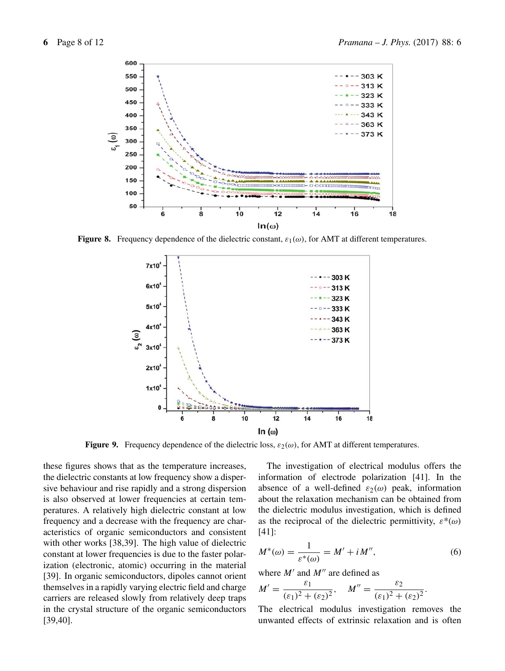

**Figure 8.** Frequency dependence of the dielectric constant,  $\varepsilon_1(\omega)$ , for AMT at different temperatures.



**Figure 9.** Frequency dependence of the dielectric loss,  $\varepsilon_2(\omega)$ , for AMT at different temperatures.

these figures shows that as the temperature increases, the dielectric constants at low frequency show a dispersive behaviour and rise rapidly and a strong dispersion is also observed at lower frequencies at certain temperatures. A relatively high dielectric constant at low frequency and a decrease with the frequency are characteristics of organic semiconductors and consistent with other works [38,39]. The high value of dielectric constant at lower frequencies is due to the faster polarization (electronic, atomic) occurring in the material [39]. In organic semiconductors, dipoles cannot orient themselves in a rapidly varying electric field and charge carriers are released slowly from relatively deep traps in the crystal structure of the organic semiconductors [39,40].

The investigation of electrical modulus offers the information of electrode polarization [41]. In the absence of a well-defined  $\varepsilon_2(\omega)$  peak, information about the relaxation mechanism can be obtained from the dielectric modulus investigation, which is defined as the reciprocal of the dielectric permittivity,  $\varepsilon^*(\omega)$ [41]:

$$
M^*(\omega) = \frac{1}{\varepsilon^*(\omega)} = M' + i M'', \tag{6}
$$

where  $M'$  and  $M''$  are defined as

$$
M' = \frac{\varepsilon_1}{(\varepsilon_1)^2 + (\varepsilon_2)^2}, \quad M'' = \frac{\varepsilon_2}{(\varepsilon_1)^2 + (\varepsilon_2)^2}.
$$

The electrical modulus investigation removes the unwanted effects of extrinsic relaxation and is often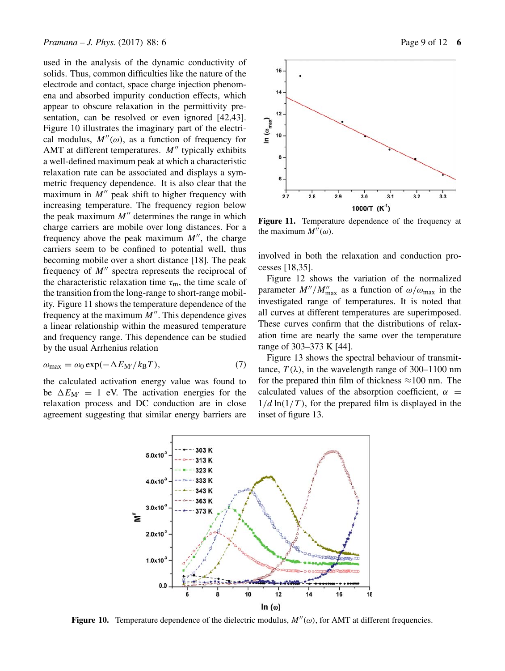used in the analysis of the dynamic conductivity of solids. Thus, common difficulties like the nature of the electrode and contact, space charge injection phenomena and absorbed impurity conduction effects, which appear to obscure relaxation in the permittivity presentation, can be resolved or even ignored [42,43]. Figure 10 illustrates the imaginary part of the electrical modulus,  $M''(\omega)$ , as a function of frequency for AMT at different temperatures.  $M''$  typically exhibits a well-defined maximum peak at which a characteristic relaxation rate can be associated and displays a symmetric frequency dependence. It is also clear that the maximum in  $M''$  peak shift to higher frequency with increasing temperature. The frequency region below the peak maximum  $M''$  determines the range in which charge carriers are mobile over long distances. For a frequency above the peak maximum  $M''$ , the charge carriers seem to be confined to potential well, thus becoming mobile over a short distance [18]. The peak frequency of  $M''$  spectra represents the reciprocal of the characteristic relaxation time  $\tau_{\rm m}$ , the time scale of the transition from the long-range to short-range mobility. Figure 11 shows the temperature dependence of the frequency at the maximum  $M''$ . This dependence gives a linear relationship within the measured temperature and frequency range. This dependence can be studied by the usual Arrhenius relation

$$
\omega_{\text{max}} = \omega_0 \exp(-\Delta E_{\text{M}} / k_{\text{B}} T),\tag{7}
$$

the calculated activation energy value was found to be  $\Delta E_{\text{M}'} = 1$  eV. The activation energies for the relaxation process and DC conduction are in close agreement suggesting that similar energy barriers are



**Figure 11.** Temperature dependence of the frequency at the maximum  $M''(\omega)$ .

involved in both the relaxation and conduction processes [18,35].

Figure 12 shows the variation of the normalized parameter  $M''/M''_{\text{max}}$  as a function of  $\omega/\omega_{\text{max}}$  in the investigated range of temperatures. It is noted that all curves at different temperatures are superimposed. These curves confirm that the distributions of relaxation time are nearly the same over the temperature range of 303–373 K [44].

Figure 13 shows the spectral behaviour of transmittance,  $T(\lambda)$ , in the wavelength range of 300–1100 nm for the prepared thin film of thickness  $\approx$ 100 nm. The calculated values of the absorption coefficient,  $\alpha$  =  $1/d \ln(1/T)$ , for the prepared film is displayed in the inset of figure 13.



**Figure 10.** Temperature dependence of the dielectric modulus,  $M''(\omega)$ , for AMT at different frequencies.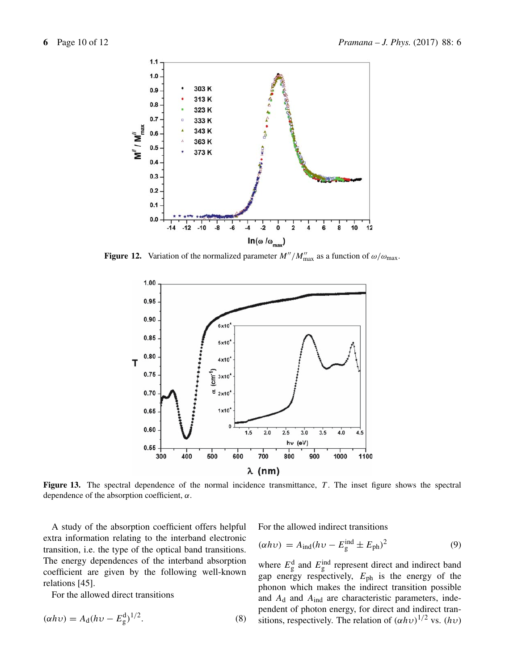

**Figure 12.** Variation of the normalized parameter  $M''/M''_{\text{max}}$  as a function of  $\omega/\omega_{\text{max}}$ .



**Figure 13.** The spectral dependence of the normal incidence transmittance, T. The inset figure shows the spectral dependence of the absorption coefficient,  $\alpha$ .

A study of the absorption coefficient offers helpful extra information relating to the interband electronic transition, i.e. the type of the optical band transitions. The energy dependences of the interband absorption coefficient are given by the following well-known relations [45].

For the allowed direct transitions

$$
(\alpha h \nu) = A_{\rm d}(h \nu - E_{\rm g}^{\rm d})^{1/2}.
$$
 (8)

For the allowed indirect transitions

$$
(\alpha h v) = A_{\text{ind}} (h v - E_{\text{g}}^{\text{ind}} \pm E_{\text{ph}})^2
$$
\n(9)

where  $E_{\text{g}}^{\text{d}}$  and  $E_{\text{g}}^{\text{ind}}$  represent direct and indirect band gap energy respectively,  $E_{\text{ph}}$  is the energy of the phonon which makes the indirect transition possible and  $A_d$  and  $A_{ind}$  are characteristic parameters, independent of photon energy, for direct and indirect transitions, respectively. The relation of  $(\alpha h v)^{1/2}$  vs.  $(hv)$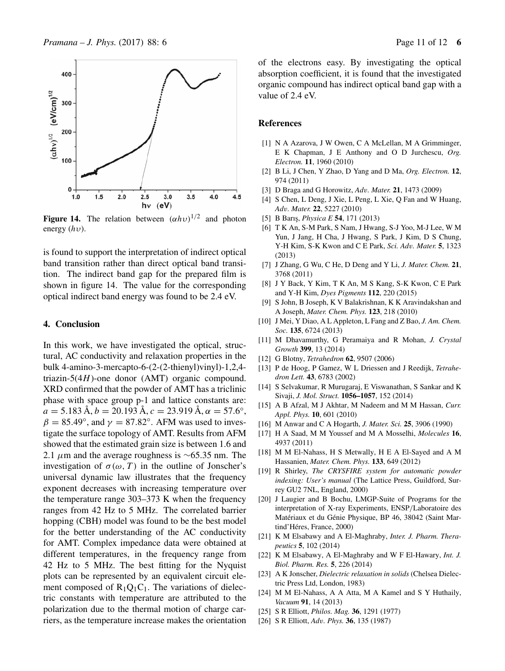

**Figure 14.** The relation between  $(\alpha h v)^{1/2}$  and photon energy  $(hv)$ .

is found to support the interpretation of indirect optical band transition rather than direct optical band transition. The indirect band gap for the prepared film is shown in figure 14. The value for the corresponding optical indirect band energy was found to be 2.4 eV.

#### **4. Conclusion**

In this work, we have investigated the optical, structural, AC conductivity and relaxation properties in the bulk 4-amino-3-mercapto-6-(2-(2-thienyl)vinyl)-1,2,4 triazin-5(4H)-one donor (AMT) organic compound. XRD confirmed that the powder of AMT has a triclinic phase with space group p-1 and lattice constants are:  $a = 5.183 \text{ Å}, b = 20.193 \text{ Å}, c = 23.919 \text{ Å}, \alpha = 57.6^{\circ},$  $\beta = 85.49^{\circ}$ , and  $\gamma = 87.82^{\circ}$ . AFM was used to investigate the surface topology of AMT. Results from AFM showed that the estimated grain size is between 1.6 and 2.1  $\mu$ m and the average roughness is ∼65.35 nm. The investigation of  $\sigma(\omega, T)$  in the outline of Jonscher's universal dynamic law illustrates that the frequency exponent decreases with increasing temperature over the temperature range 303–373 K when the frequency ranges from 42 Hz to 5 MHz. The correlated barrier hopping (CBH) model was found to be the best model for the better understanding of the AC conductivity for AMT. Complex impedance data were obtained at different temperatures, in the frequency range from 42 Hz to 5 MHz. The best fitting for the Nyquist plots can be represented by an equivalent circuit element composed of  $R_1Q_1C_1$ . The variations of dielectric constants with temperature are attributed to the polarization due to the thermal motion of charge carriers, as the temperature increase makes the orientation of the electrons easy. By investigating the optical absorption coefficient, it is found that the investigated organic compound has indirect optical band gap with a value of 2.4 eV.

#### **References**

- [1] N A Azarova, J W Owen, C A McLellan, M A Grimminger, E K Chapman, J E Anthony and O D Jurchescu, *Org. Electron.* **11**, 1960 (2010)
- [2] B Li, J Chen, Y Zhao, D Yang and D Ma, *Org. Electron.* **12**, 974 (2011)
- [3] D Braga and G Horowitz, *Ad*v*. Mater.* **21**, 1473 (2009)
- [4] S Chen, L Deng, J Xie, L Peng, L Xie, Q Fan and W Huang, *Ad*v*. Mater.* **22**, 5227 (2010)
- [5] B Barı¸s, *Physica E* **54**, 171 (2013)
- [6] T K An, S-M Park, S Nam, J Hwang, S-J Yoo, M-J Lee, W M Yun, J Jang, H Cha, J Hwang, S Park, J Kim, D S Chung, Y-H Kim, S-K Kwon and C E Park, *Sci. Ad*v*. Mater.* **5**, 1323 (2013)
- [7] J Zhang, G Wu, C He, D Deng and Y Li, *J. Mater. Chem.* **21**, 3768 (2011)
- [8] J Y Back, Y Kim, T K An, M S Kang, S-K Kwon, C E Park and Y-H Kim, *Dyes Pigments* **112**, 220 (2015)
- [9] S John, B Joseph, K V Balakrishnan, K K Aravindakshan and A Joseph, *Mater. Chem. Phys.* **123**, 218 (2010)
- [10] J Mei, Y Diao, A L Appleton, L Fang and Z Bao, *J. Am. Chem. Soc.* **135**, 6724 (2013)
- [11] M Dhavamurthy, G Peramaiya and R Mohan, *J. Crystal Growth* **399**, 13 (2014)
- [12] G Blotny, *Tetrahedron* **62**, 9507 (2006)
- [13] P de Hoog, P Gamez, W L Driessen and J Reedijk, *Tetrahedron Lett.* **43**, 6783 (2002)
- [14] S Selvakumar, R Murugaraj, E Viswanathan, S Sankar and K Sivaji, *J. Mol. Struct.* **1056–1057**, 152 (2014)
- [15] A B Afzal, M J Akhtar, M Nadeem and M M Hassan, *Curr. Appl. Phys.* **10**, 601 (2010)
- [16] M Anwar and C A Hogarth, *J. Mater. Sci.* **25**, 3906 (1990)
- [17] H A Saad, M M Youssef and M A Mosselhi, *Molecules* **16**, 4937 (2011)
- [18] M M El-Nahass, H S Metwally, H E A El-Sayed and A M Hassanien, *Mater. Chem. Phys.* **133**, 649 (2012)
- [19] R Shirley, *The CRYSFIRE system for automatic powder indexing: User's manual* (The Lattice Press, Guildford, Surrey GU2 7NL, England, 2000)
- [20] J Laugier and B Bochu, LMGP-Suite of Programs for the interpretation of X-ray Experiments, ENSP/Laboratoire des Matériaux et du Génie Physique, BP 46, 38042 (Saint Martind'Héres, France, 2000)
- [21] K M Elsabawy and A El-Maghraby, *Inter. J. Pharm. Therapeutics* **5**, 102 (2014)
- [22] K M Elsabawy, A El-Maghraby and W F El-Hawary, *Int. J. Biol. Pharm. Res.* **5**, 226 (2014)
- [23] A K Jonscher, *Dielectric relaxation in solids* (Chelsea Dielectric Press Ltd, London, 1983)
- [24] M M El-Nahass, A A Atta, M A Kamel and S Y Huthaily, *Vacuum* **91**, 14 (2013)
- [25] S R Elliott, *Philos. Mag.* **36**, 1291 (1977)
- [26] S R Elliott, *Ad*v*. Phys.* **36**, 135 (1987)